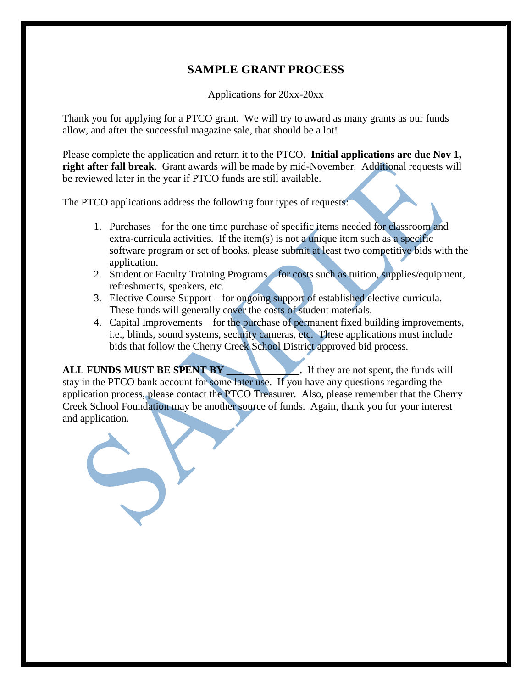## **SAMPLE GRANT PROCESS**

Applications for 20xx-20xx

Thank you for applying for a PTCO grant. We will try to award as many grants as our funds allow, and after the successful magazine sale, that should be a lot!

Please complete the application and return it to the PTCO. **Initial applications are due Nov 1, right after fall break**. Grant awards will be made by mid-November. Additional requests will be reviewed later in the year if PTCO funds are still available.

The PTCO applications address the following four types of requests:

- 1. Purchases for the one time purchase of specific items needed for classroom and extra-curricula activities. If the item(s) is not a unique item such as a specific software program or set of books, please submit at least two competitive bids with the application.
- 2. Student or Faculty Training Programs for costs such as tuition, supplies/equipment, refreshments, speakers, etc.
- 3. Elective Course Support for ongoing support of established elective curricula. These funds will generally cover the costs of student materials.
- 4. Capital Improvements for the purchase of permanent fixed building improvements, i.e., blinds, sound systems, security cameras, etc. These applications must include bids that follow the Cherry Creek School District approved bid process.

**ALL FUNDS MUST BE SPENT BY .** If they are not spent, the funds will stay in the PTCO bank account for some later use. If you have any questions regarding the application process, please contact the PTCO Treasurer. Also, please remember that the Cherry Creek School Foundation may be another source of funds. Again, thank you for your interest and application.